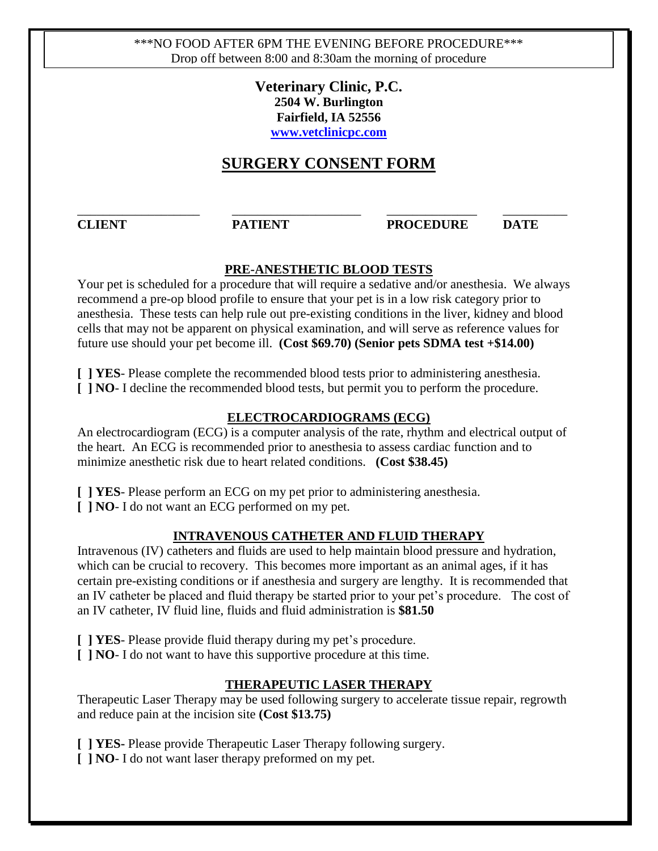\*\*\*NO FOOD AFTER 6PM THE EVENING BEFORE PROCEDURE\*\*\* Drop off between 8:00 and 8:30am the morning of procedure

> **Veterinary Clinic, P.C. 2504 W. Burlington Fairfield, IA 52556 [www.vetclinicpc.com](http://www.vetclinicpc.com/)**

# **SURGERY CONSENT FORM**

\_\_\_\_\_\_\_\_\_\_\_\_\_\_\_\_\_\_\_ \_\_\_\_\_\_\_\_\_\_\_\_\_\_\_\_\_\_\_\_ \_\_\_\_\_\_\_\_\_\_\_\_\_\_ \_\_\_\_\_\_\_\_\_\_

#### **CLIENT PATIENT PROCEDURE DATE**

### **PRE-ANESTHETIC BLOOD TESTS**

Your pet is scheduled for a procedure that will require a sedative and/or anesthesia. We always recommend a pre-op blood profile to ensure that your pet is in a low risk category prior to anesthesia. These tests can help rule out pre-existing conditions in the liver, kidney and blood cells that may not be apparent on physical examination, and will serve as reference values for future use should your pet become ill. **(Cost \$69.70) (Senior pets SDMA test +\$14.00)**

**[ ] YES**- Please complete the recommended blood tests prior to administering anesthesia. **[ ] NO**- I decline the recommended blood tests, but permit you to perform the procedure.

### **ELECTROCARDIOGRAMS (ECG)**

An electrocardiogram (ECG) is a computer analysis of the rate, rhythm and electrical output of the heart. An ECG is recommended prior to anesthesia to assess cardiac function and to minimize anesthetic risk due to heart related conditions. **(Cost \$38.45)**

**[ ] YES**- Please perform an ECG on my pet prior to administering anesthesia.

**[ ] NO**- I do not want an ECG performed on my pet.

### **INTRAVENOUS CATHETER AND FLUID THERAPY**

Intravenous (IV) catheters and fluids are used to help maintain blood pressure and hydration, which can be crucial to recovery. This becomes more important as an animal ages, if it has certain pre-existing conditions or if anesthesia and surgery are lengthy. It is recommended that an IV catheter be placed and fluid therapy be started prior to your pet's procedure. The cost of an IV catheter, IV fluid line, fluids and fluid administration is **\$81.50**

**[ ] YES**- Please provide fluid therapy during my pet's procedure.

**[ ] NO**- I do not want to have this supportive procedure at this time.

### **THERAPEUTIC LASER THERAPY**

Therapeutic Laser Therapy may be used following surgery to accelerate tissue repair, regrowth and reduce pain at the incision site **(Cost \$13.75)**

**[ ] YES-** Please provide Therapeutic Laser Therapy following surgery.

**[ ] NO**- I do not want laser therapy preformed on my pet.